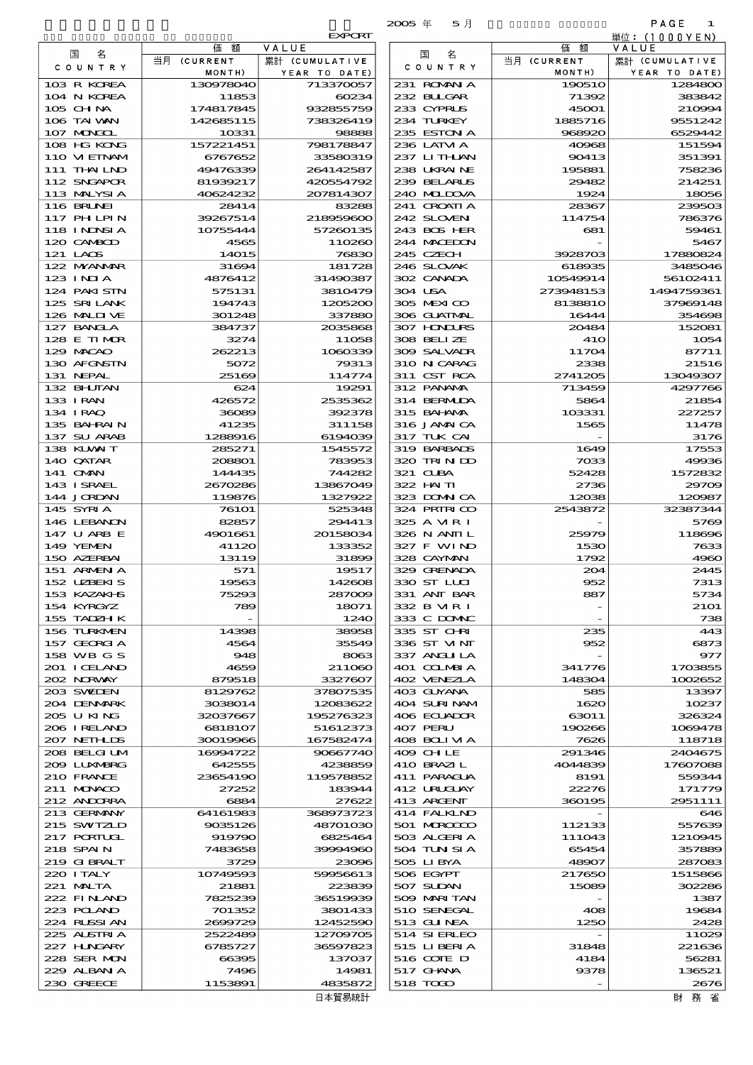|                              |                        |                                 | $2005 \text{ } \#$<br>5月   |                       | PAGE<br>1                 |
|------------------------------|------------------------|---------------------------------|----------------------------|-----------------------|---------------------------|
|                              | 価<br>額                 | <b>EXPORT</b><br>VALUE          |                            | 価<br>額                | 単位: (1000 Y E N)<br>VALUE |
| 名<br>国<br>COUNTRY            | 当月 (CURRENT<br>MONTH)  | 累計 (CUMULATIVE<br>YEAR TO DATE) | 名<br>国<br>C O U N T R Y    | 当月 (CURRENT<br>MONTH) | YEAR TO DATE)             |
| 103 R KOREA                  | 130978040              | 713370057                       | 231 ROMAN A                | 190510                | 1284800                   |
| 104 N KOREA                  | 11853                  | 60234                           | 232 BULGAR                 | 71392                 | 383842                    |
| 105 CHNA                     | 174817845              | 932855759                       | 233 CYPRUS                 | 45001                 | 210994                    |
| 106 TAI WAN                  | 142685115              | 738326419                       | 234 TURKEY                 | 1885716               | 9551242                   |
| 107 MONGOL                   | 10331                  | 98888                           | 235 ESTON A                | 968920                | 6529442                   |
| 108 HG KONG<br>110 VIETNAM   | 157221451<br>6767652   | 798178847<br>33580319           | 236 LATM A<br>237 LITHLAN  | 40968<br>90413        | 151594<br>351391          |
| 111 THAILND                  | 49476339               | 264142587                       | 238 UKRAINE                | 195881                | 758236                    |
| 112 SNGAPOR                  | 81939217               | 420554792                       | 239 BELARUS                | 29482                 | 214251                    |
| 113 MALYSIA                  | 40624232               | 207814307                       | 240 MIDOVA                 | 1924                  | 18056                     |
| 116 BRUNEI                   | 28414                  | 83288                           | 241 CROATIA                | 28367                 | 239503                    |
| 117 PHLPIN                   | 39267514               | 218959600                       | 242 SLOVEN                 | 114754                | 786376                    |
| 118 I NDNSI A                | 10755444               | 57260135                        | 243 BOS HER                | 681                   | 59461                     |
| 120 CAMBOD<br>121 LAOS       | 4565<br>14O15          | 110260<br>76830                 | 244 MACEDON<br>245 CZECH   | 3928703               | 5467<br>17880824          |
| 122 MYANAR                   | 31694                  | 181728                          | 246 SLOVAK                 | 618935                | 3485046                   |
| 123 INJA                     | 4876412                | 31490387                        | 302 CANADA                 | 10549914              | 56102411                  |
| 124 PAKISTN                  | 575131                 | 3810479                         | 304 USA                    | 273948153             | 1494759361                |
| 125 SRILANK                  | 194743                 | 1205200                         | 305 MEXICO                 | 8138810               | 37969148                  |
| 126 MALINE                   | 301248                 | 337880                          | 306 GUATMAL                | 16444                 | 354698                    |
| 127 BANCLA<br>128 E TIMOR    | 384737<br>3274         | 2035868<br>11058                | 307 HODURS<br>308 BELLZE   | 20484<br><b>41O</b>   | 152081<br>1054            |
| 129 MACAO                    | 262213                 | 1060339                         | 309 SALVADR                | 11704                 | 87711                     |
| 130 AFGNSTN                  | 5072                   | 79313                           | 310 N CARAG                | 2338                  | 21516                     |
| 131 NEPAL                    | 25169                  | 114774                          | 311 CST RCA                | 2741205               | 13049307                  |
| 132 BHUTAN                   | 624                    | 19291                           | 312 PANAMA                 | 713459                | 4297766                   |
| 133 IRAN                     | 426572                 | 2535362                         | 314 BERMIDA                | 5864                  | 21854                     |
| 134 I RAQ<br>135 BAHRAIN     | 36089<br>41235         | 392378<br>311158                | 315 BAHAMA<br>316 JAMAICA  | 103331<br>1565        | 227257<br>11478           |
| 137 SU ARAB                  | 1288916                | 6194039                         | 317 TUK CAI                |                       | 3176                      |
| 138 KUWAIT                   | 285271                 | 1545572                         | 319 BARBADS                | 1649                  | 17553                     |
| 140 QATAR                    | 208801                 | 783953                          | 320 TRINDO                 | 7033                  | 49936                     |
| 141 OMN                      | 144435                 | 744282                          | 321 CUBA                   | 52428                 | 1572832                   |
| 143 ISRAEL                   | 2670286                | 13867049                        | 322 HAITI                  | 2736                  | 29709                     |
| 144 JORDAN<br>145 SYRIA      | 119876<br><b>76101</b> | 1327922<br>525348               | 323 DOMNICA<br>324 PRIRICO | 12038<br>2543872      | 120987<br>32387344        |
| 146 LEBANON                  | 82857                  | 294413                          | 325 A MRI                  |                       | 5769                      |
| 147 U ARB E                  | 4901661                | 20158034                        | 326 N ANII L               | 25979                 | 118696                    |
| 149 YEMEN                    | 41120                  | 133352                          | 327 F WIND                 | 1530                  | 7633                      |
| 150 AZERBAI                  | 13119                  | 31899                           | 328 CAYMAN                 | 1792                  | 4960                      |
| 151 ARMEN A                  | 571                    | 19517                           | 329 GRENADA                | 204                   | 2445                      |
| 152 UZBEKIS<br>153 KAZAKHS   | 19563<br>75293         | 142608<br>287009                | 330 ST LLCI<br>331 ANT BAR | 952<br>887            | 7313<br>5734              |
| 154 KYRGYZ                   | 789                    | 18071                           | 332 B MR I                 |                       | 2101                      |
| 155 TADZH K                  |                        | 1240                            | 333 C DOMAC                |                       | 738                       |
| 156 TURKMEN                  | 14398                  | 38958                           | 335 ST CHRI                | 235                   | 443                       |
| 157 GEORGIA                  | 4564                   | 35549                           | 336 ST VINT                | 952                   | 6873                      |
| 158 WB G S                   | 948                    | 8063                            | 337 ANGLILA                |                       | 977                       |
| 201 I CELAND<br>202 NORWAY   | 4659<br>879518         | 211060<br>3327607               | 401 COLMBIA<br>402 VENEZIA | 341776<br>148304      | 1703855<br>1002652        |
| 203 SWIEN                    | 8129762                | 37807535                        | 403 GUYANA                 | 585                   | 13397                     |
| 204 DENMARK                  | 3038014                | 12083622                        | 404 SURINAM                | 1620                  | 10237                     |
| 205 U KING                   | 32037667               | 195276323                       | 406 ECUADOR                | 63011                 | 326324                    |
| 206 I RELAND                 | 6818107                | 51612373                        | 407 PERU                   | 190266                | 1069478                   |
| 207 NETHLIS                  | 30019966               | 167582474                       | 408 BOLI VI A              | 7626                  | 118718                    |
| 208 BELGI UM<br>2009 LUNABRG | 16994722<br>642555     | 90667740<br>4238859             | 409 CH LE<br>410 BRAZI L   | 291346<br>4044839     | 2404675<br>17607088       |
| 210 FRANCE                   | 23654190               | 119578852                       | 411 PARAGUA                | 8191                  | 559344                    |
| 211 MUNACO                   | 27252                  | 183944                          | 412 URUGUAY                | 22276                 | 171779                    |
| 212 ANDORRA                  | 6884                   | 27622                           | 413 ARCENT                 | 360195                | 2951111                   |
| 213 GERMANY                  | 64161983               | 368973723                       | 414 FALKLND                |                       | 646                       |
| 215 SWIZLD<br>217 PORTUGL    | 9035126                | 48701030<br>6825464             | 501 MROCCO<br>503 ALGERIA  | 112133                | 557639<br>1210945         |
| 218 SPAIN                    | 919790<br>7483658      | 39994960                        | 504 TUN SI A               | 111043<br>65454       | 357889                    |
| 219 GIBRALT                  | 3729                   | 23096                           | 505 LIBYA                  | 48907                 | 287083                    |
| 220 I TALY                   | 10749593               | 59956613                        | 506 EGYPT                  | 217650                | 1515866                   |
| 221 MALTA                    | 21881                  | 223839                          | 507 SUDAN                  | 15089                 | 302286                    |
| 222 FINAND                   | 7825239                | 36519939                        | 509 MARITAN                |                       | 1387                      |
| 223 POLAND<br>224 RUSSI AN   | 701352<br>2699729      | 3801433<br>12452590             | 510 SENEGAL<br>513 GUNEA   | 408<br>1250           | 19684<br>2428             |
| 225 ALSTRIA                  | 2522489                | 12709705                        | 514 SIERLEO                |                       | 11029                     |
| 227 H.NGARY                  | 6785727                | 36597823                        | 515 LIBERIA                | 31848                 | 221636                    |
| 228 SER MON                  | 66395                  | 137037                          | 516 CONE D                 | 4184                  | 56281                     |
| 229 ALBAN A                  | 7496                   | 14981                           | 517 GHNA                   | 9378                  | 136521                    |
| 230 GREECE                   | 1153891                | 4835872                         | 518 TODO                   |                       | 2676                      |

|                             |                       | <b>EXPORT</b>              |                            |                    | 単位:(1000YEN)             |
|-----------------------------|-----------------------|----------------------------|----------------------------|--------------------|--------------------------|
| 国<br>名                      | 額<br>価<br>当月 (CURRENT | VALUE<br>累計 (CUMULATIVE    | 名<br>国                     | 価 額<br>当月 (CURRENT | VALUE<br>累計 (CUMULATIVE  |
| COUNTRY                     | MONTH)                | YEAR TO DATE)              | C O U N T R Y              | MONTH)             | YEAR TO DATE)            |
| 103 R KOREA                 | 130978040             | 713370057                  | 231 ROMANIA                | 190510             | 1284800                  |
| 104 N KOREA                 | 11853                 | 60234                      | 232 BUGAR                  | 71392              | 383842                   |
| $105$ CHNA                  | 174817845             | 932855759                  | 233 CYPRUS                 | 45001              | 210994                   |
| 106 TAI VAN<br>107 MONGOL   | 142685115<br>10331    | 738326419<br>98888         | 234 TURKEY<br>235 ESTON A  | 1885716<br>968920  | 9551242<br>6529442       |
| 108 HG KONG                 | 157221451             | 798178847                  | 236 LATM A                 | 40968              | 151594                   |
| 110 VIEINAM                 | 6767652               | 33580319                   | 237 LITHLAN                | 90413              | 351391                   |
| 111 THAILND                 | 49476339              | 264142587                  | 238 UKRAINE                | 195881             | 758230                   |
| 112 SNGAPOR                 | 81939217              | 420554792                  | 239 BELARUS                | 29482              | 214251                   |
| 113 MALYSIA                 | 40624232              | 207814307                  | 240 MIDOVA                 | 1924               | 18056                    |
| 116 BRUNEI<br>117 PH LPIN   | 28414<br>39267514     | 83288<br>218959600         | 241 CROATIA<br>242 SLOVEN  | 28367<br>114754    | 239503<br>786376         |
| 118 I NNSI A                | 10755444              | 57260135                   | 243 BOS HER                | 681                | 59461                    |
| 120 CAMBOD                  | 4565                  | 110260                     | 244 MACEDON                |                    | 5467                     |
| 121 LAOS                    | 14015                 | 76830                      | 245 CZECH                  | 3928703            | 17880824                 |
| 122 MYANMAR                 | 31694                 | 181728                     | 246 SLOVAK                 | 618935             | 3485046                  |
| $123$ INIA                  | 4876412               | 31490387                   | 302 CANADA                 | 10549914           | 56102411                 |
| 124 PAKI STN                | 575131                | 3810479                    | 304 USA                    | 273948153          | 1494759361               |
| 125 SRILANK<br>126 MALII VE | 194743<br>301248      | 1205200<br>337880          | 305 MEXICO<br>306 GUATNAL  | 8138810<br>16444   | 37969148<br>354696       |
| 127 BANCLA                  | 384737                | 2035868                    | 307 HONDURS                | 20484              | 152081                   |
| 128 E TIMOR                 | 3274                  | 11058                      | 308 BELLZE                 | 41O                | 105<                     |
| 129 MACAO                   | 262213                | 1060339                    | 309 SALVAIR                | 11704              | 87711                    |
| 130 AFGNSTN                 | 5072                  | 79313                      | 310 N CARAG                | 2338               | 21516                    |
| 131 NEPAL                   | 25169                 | 114774                     | 311 CST RCA                | 2741205            | 13049307                 |
| 132 BHUTAN                  | 624                   | 19291                      | 312 PANAMA                 | 713459             | 4297766                  |
| 133 I RAN<br>134 I RAQ      | 426572<br>36089       | 2535362<br>392378          | 314 BERMIDA<br>315 BAHAMA  | 5864<br>103331     | 21854<br>227257          |
| 135 BAHRAIN                 | 41235                 | 311158                     | 316 JAMAICA                | 1565               | 11478                    |
| 137 SU ARAB                 | 1288916               | 6194039                    | 317 TUK CAI                |                    | 3176                     |
| 138 KUWAIT                  | 285271                | 1545572                    | 319 BARBADS                | 1649               | 17553                    |
| 140 QATAR                   | 208801                | 783953                     | 320 TRINDO                 | 7033               | 49936                    |
| 141 <b>OMN</b>              | 144435                | 744282                     | 321 CLBA                   | 52428              | 1572832                  |
| 143 ISRAEL<br>144 JORDAN    | 2670286<br>119876     | 13867049<br>1327922        | 322 HAITI<br>323 DOMNICA   | 2736<br>12038      | 29706<br>120987          |
| 145 SYRIA                   | 76101                 | 525348                     | 324 PRIRICO                | 2543872            | 32387344                 |
| 146 LEBANON                 | 82857                 | 294413                     | 325 A MR I                 |                    | 5769                     |
| 147 U ARB E                 | 4901661               | 20158034                   | 326 N ANII L               | 25979              | 118696                   |
| 149 YEMEN                   | 41120                 | 133352                     | 327 F WIND                 | 1530               | 7633                     |
| 150 AZERBAI                 | 13119                 | 31899                      | 328 CAYMAN                 | 1792               | 4960                     |
| 151 ARMENIA<br>152 UZBEKIS  | 571<br>19563          | 19517<br>142608            | 329 GRENADA<br>330 ST LLCI | 204<br>952         | 2445<br>7313             |
| 153 KAZAKI S                | 75293                 | 287009                     | 331 ANT BAR                | 887                | 5734                     |
| 154 KYRGYZ                  | 789                   | 18071                      | 332 B MR I                 |                    | 21O1                     |
| 155 TADZH K                 |                       | 1240                       | 333 C DOMAC                |                    | 735                      |
| 156 TURKMEN                 | 14398                 | 38958                      | 335 ST CHRI                | 235                | 443                      |
| 157 GEORGIA<br>158 WB G S   | 4564                  | 35549                      | 336 ST VINT                | 952                | 6873                     |
| 201 I CELAND                | 948<br>4659           | 8063<br>211060             | 337 ANGLILA<br>401 COLMBIA | 341776             | 97.<br>1703855           |
| 202 NORWAY                  | 879518                | 3327607                    | 402 VENEZIA                | 148304             | 1002652                  |
| 203 SWILEN                  | 8129762               | 37807535                   | 403 GUYANA                 | 585                | 13397                    |
| 204 DENMARK                 | 3038014               | 12083622                   | 404 SURINAM                | 1620               | 10237                    |
| 205 U KING                  | 32037667              | 195276323                  | 406 ECUADOR                | 63011              | 326324                   |
| 206 I RELAND<br>207 NETHLIS | 6818107               | 51612373<br>167582474      | 407 PERU<br>408 BOLIVIA    | 190266<br>7626     | 1069478                  |
| 208 BELGI UM                | 30019966<br>16994722  | 90667740                   | 409 CHLE                   | 291346             | 118718<br>2404675        |
| 200 LUNABRG                 | 642555                | 4238859                    | 410 BRAZIL                 | 4044839            | 1760708                  |
| 210 FRANCE                  | 23654190              | 119578852                  | 411 PARAGUA                | 8191               | 559344                   |
| 211 MUNACO                  | 27252                 | 183944                     | 412 URUCUAY                | 22276              | 171775                   |
| 212 ANDORRA                 | 6884                  | 27622                      | 413 ARGENT                 | 360195             | 2951111                  |
| 213 GERMANY                 | 64161983              | 368973723                  | 414 FALKLND                |                    | 646                      |
| 215 SWIZLD<br>217 PORTUGL   | 9035126<br>919790     | 48701030<br>6825464        | 501 MROCCO<br>503 ALGERIA  | 112133<br>111043   | 557639<br>1210945        |
| 218 SPAIN                   | 7483658               | 39994960                   | 504 TUN SI A               | 65454              | 357889                   |
| 219 GIBRALT                 | 3729                  | 23096                      | 505 LIBYA                  | 48907              | 28708                    |
| 220 I TALY                  | 10749593              | 59956613                   | 506 EGYPT                  | 217650             | 1515866                  |
| 221 MALTA                   | 21881                 | 223839                     | 507 SUDAN                  | 15089              | 302280                   |
| 222 FINAND                  | 7825239               | 36519939                   | 509 MARITAN                |                    | 1387                     |
| 223 POLAND<br>224 RUSSI AN  | 701352<br>2699729     | 3801433<br>12452590        | 510 SENEGAL<br>513 GUNEA   | 408<br>1250        | 19684<br>2428            |
| 225 ALSTRIA                 | 2522489               | 12709705                   | 514 SIERLEO                |                    | 11025                    |
| 227 HUNGARY                 | 6785727               | 36597823                   | 515 LIBERIA                | 31848              | 221636                   |
| 228 SER MON                 | 66395                 | 137037                     | 516 COTE D                 | 4184               | 56281                    |
| 229 ALBAN A                 | 7496                  | 14981                      | 517 GHNA                   | 9378               | 136521                   |
| 230 GREECE                  | 1153891               | 4835872<br>$-452 - 66 = 1$ | 518 TODO                   |                    | 267E<br>$10 - 767 = 218$ |